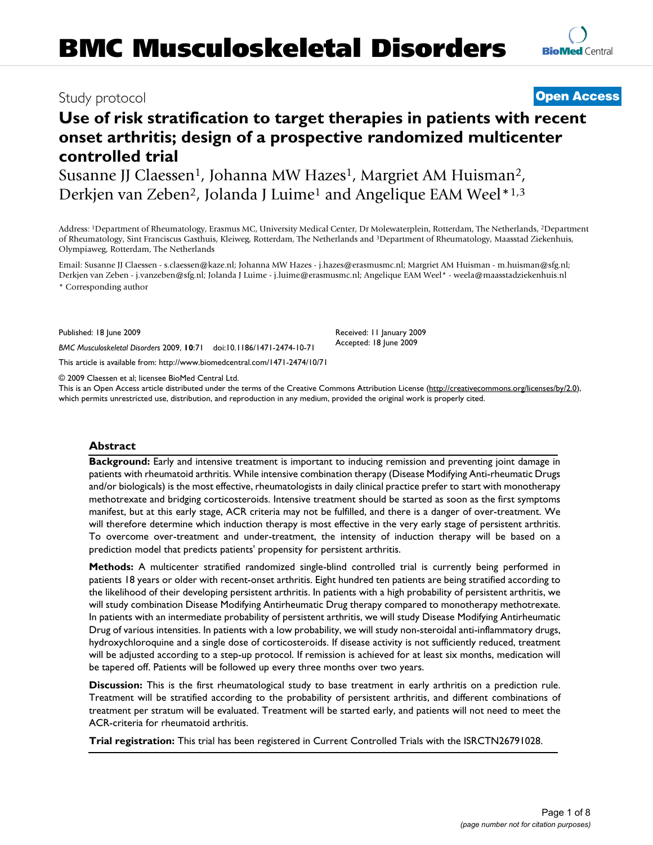## Study protocol **[Open Access](http://www.biomedcentral.com/info/about/charter/)**

# **Use of risk stratification to target therapies in patients with recent onset arthritis; design of a prospective randomized multicenter controlled trial**

Susanne JJ Claessen<sup>1</sup>, Johanna MW Hazes<sup>1</sup>, Margriet AM Huisman<sup>2</sup>, Derkjen van Zeben<sup>2</sup>, Jolanda J Luime<sup>1</sup> and Angelique EAM Weel\*<sup>1,3</sup>

Address: 1Department of Rheumatology, Erasmus MC, University Medical Center, Dr Molewaterplein, Rotterdam, The Netherlands, 2Department of Rheumatology, Sint Franciscus Gasthuis, Kleiweg, Rotterdam, The Netherlands and 3Department of Rheumatology, Maasstad Ziekenhuis, Olympiaweg, Rotterdam, The Netherlands

Email: Susanne JJ Claessen - s.claessen@kaze.nl; Johanna MW Hazes - j.hazes@erasmusmc.nl; Margriet AM Huisman - m.huisman@sfg.nl; Derkjen van Zeben - j.vanzeben@sfg.nl; Jolanda J Luime - j.luime@erasmusmc.nl; Angelique EAM Weel\* - weela@maasstadziekenhuis.nl \* Corresponding author

Published: 18 June 2009

*BMC Musculoskeletal Disorders* 2009, **10**:71 doi:10.1186/1471-2474-10-71

[This article is available from: http://www.biomedcentral.com/1471-2474/10/71](http://www.biomedcentral.com/1471-2474/10/71)

© 2009 Claessen et al; licensee BioMed Central Ltd.

This is an Open Access article distributed under the terms of the Creative Commons Attribution License [\(http://creativecommons.org/licenses/by/2.0\)](http://creativecommons.org/licenses/by/2.0), which permits unrestricted use, distribution, and reproduction in any medium, provided the original work is properly cited.

Received: 11 January 2009 Accepted: 18 June 2009

#### **Abstract**

**Background:** Early and intensive treatment is important to inducing remission and preventing joint damage in patients with rheumatoid arthritis. While intensive combination therapy (Disease Modifying Anti-rheumatic Drugs and/or biologicals) is the most effective, rheumatologists in daily clinical practice prefer to start with monotherapy methotrexate and bridging corticosteroids. Intensive treatment should be started as soon as the first symptoms manifest, but at this early stage, ACR criteria may not be fulfilled, and there is a danger of over-treatment. We will therefore determine which induction therapy is most effective in the very early stage of persistent arthritis. To overcome over-treatment and under-treatment, the intensity of induction therapy will be based on a prediction model that predicts patients' propensity for persistent arthritis.

**Methods:** A multicenter stratified randomized single-blind controlled trial is currently being performed in patients 18 years or older with recent-onset arthritis. Eight hundred ten patients are being stratified according to the likelihood of their developing persistent arthritis. In patients with a high probability of persistent arthritis, we will study combination Disease Modifying Antirheumatic Drug therapy compared to monotherapy methotrexate. In patients with an intermediate probability of persistent arthritis, we will study Disease Modifying Antirheumatic Drug of various intensities. In patients with a low probability, we will study non-steroidal anti-inflammatory drugs, hydroxychloroquine and a single dose of corticosteroids. If disease activity is not sufficiently reduced, treatment will be adjusted according to a step-up protocol. If remission is achieved for at least six months, medication will be tapered off. Patients will be followed up every three months over two years.

**Discussion:** This is the first rheumatological study to base treatment in early arthritis on a prediction rule. Treatment will be stratified according to the probability of persistent arthritis, and different combinations of treatment per stratum will be evaluated. Treatment will be started early, and patients will not need to meet the ACR-criteria for rheumatoid arthritis.

**Trial registration:** This trial has been registered in Current Controlled Trials with the ISRCTN26791028.

**[BioMed](http://www.biomedcentral.com/)** Central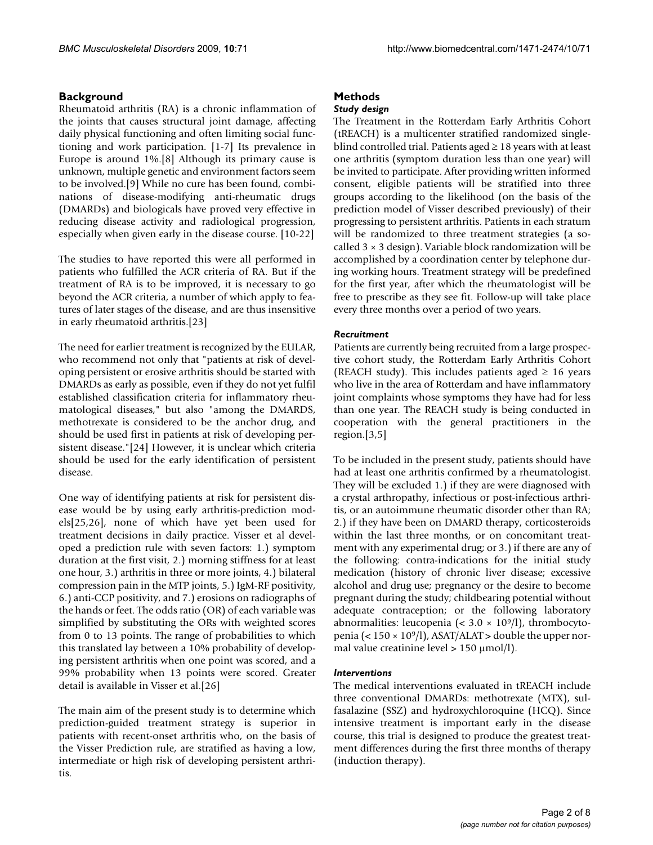## **Background**

Rheumatoid arthritis (RA) is a chronic inflammation of the joints that causes structural joint damage, affecting daily physical functioning and often limiting social functioning and work participation. [1-7] Its prevalence in Europe is around 1%.[8] Although its primary cause is unknown, multiple genetic and environment factors seem to be involved.[9] While no cure has been found, combinations of disease-modifying anti-rheumatic drugs (DMARDs) and biologicals have proved very effective in reducing disease activity and radiological progression, especially when given early in the disease course. [10-22]

The studies to have reported this were all performed in patients who fulfilled the ACR criteria of RA. But if the treatment of RA is to be improved, it is necessary to go beyond the ACR criteria, a number of which apply to features of later stages of the disease, and are thus insensitive in early rheumatoid arthritis.[23]

The need for earlier treatment is recognized by the EULAR, who recommend not only that "patients at risk of developing persistent or erosive arthritis should be started with DMARDs as early as possible, even if they do not yet fulfil established classification criteria for inflammatory rheumatological diseases," but also "among the DMARDS, methotrexate is considered to be the anchor drug, and should be used first in patients at risk of developing persistent disease."[24] However, it is unclear which criteria should be used for the early identification of persistent disease.

One way of identifying patients at risk for persistent disease would be by using early arthritis-prediction models[25,26], none of which have yet been used for treatment decisions in daily practice. Visser et al developed a prediction rule with seven factors: 1.) symptom duration at the first visit, 2.) morning stiffness for at least one hour, 3.) arthritis in three or more joints, 4.) bilateral compression pain in the MTP joints, 5.) IgM-RF positivity, 6.) anti-CCP positivity, and 7.) erosions on radiographs of the hands or feet. The odds ratio (OR) of each variable was simplified by substituting the ORs with weighted scores from 0 to 13 points. The range of probabilities to which this translated lay between a 10% probability of developing persistent arthritis when one point was scored, and a 99% probability when 13 points were scored. Greater detail is available in Visser et al.[26]

The main aim of the present study is to determine which prediction-guided treatment strategy is superior in patients with recent-onset arthritis who, on the basis of the Visser Prediction rule, are stratified as having a low, intermediate or high risk of developing persistent arthritis.

## **Methods**

#### *Study design*

The Treatment in the Rotterdam Early Arthritis Cohort (tREACH) is a multicenter stratified randomized singleblind controlled trial. Patients aged  $\geq 18$  years with at least one arthritis (symptom duration less than one year) will be invited to participate. After providing written informed consent, eligible patients will be stratified into three groups according to the likelihood (on the basis of the prediction model of Visser described previously) of their progressing to persistent arthritis. Patients in each stratum will be randomized to three treatment strategies (a socalled 3 × 3 design). Variable block randomization will be accomplished by a coordination center by telephone during working hours. Treatment strategy will be predefined for the first year, after which the rheumatologist will be free to prescribe as they see fit. Follow-up will take place every three months over a period of two years.

## *Recruitment*

Patients are currently being recruited from a large prospective cohort study, the Rotterdam Early Arthritis Cohort (REACH study). This includes patients aged  $\geq 16$  years who live in the area of Rotterdam and have inflammatory joint complaints whose symptoms they have had for less than one year. The REACH study is being conducted in cooperation with the general practitioners in the region.[3,5]

To be included in the present study, patients should have had at least one arthritis confirmed by a rheumatologist. They will be excluded 1.) if they are were diagnosed with a crystal arthropathy, infectious or post-infectious arthritis, or an autoimmune rheumatic disorder other than RA; 2.) if they have been on DMARD therapy, corticosteroids within the last three months, or on concomitant treatment with any experimental drug; or 3.) if there are any of the following: contra-indications for the initial study medication (history of chronic liver disease; excessive alcohol and drug use; pregnancy or the desire to become pregnant during the study; childbearing potential without adequate contraception; or the following laboratory abnormalities: leucopenia (<  $3.0 \times 10^9$ /l), thrombocytopenia (<  $150 \times 10^9$ /l), ASAT/ALAT > double the upper normal value creatinine level > 150 μmol/l).

#### *Interventions*

The medical interventions evaluated in tREACH include three conventional DMARDs: methotrexate (MTX), sulfasalazine (SSZ) and hydroxychloroquine (HCQ). Since intensive treatment is important early in the disease course, this trial is designed to produce the greatest treatment differences during the first three months of therapy (induction therapy).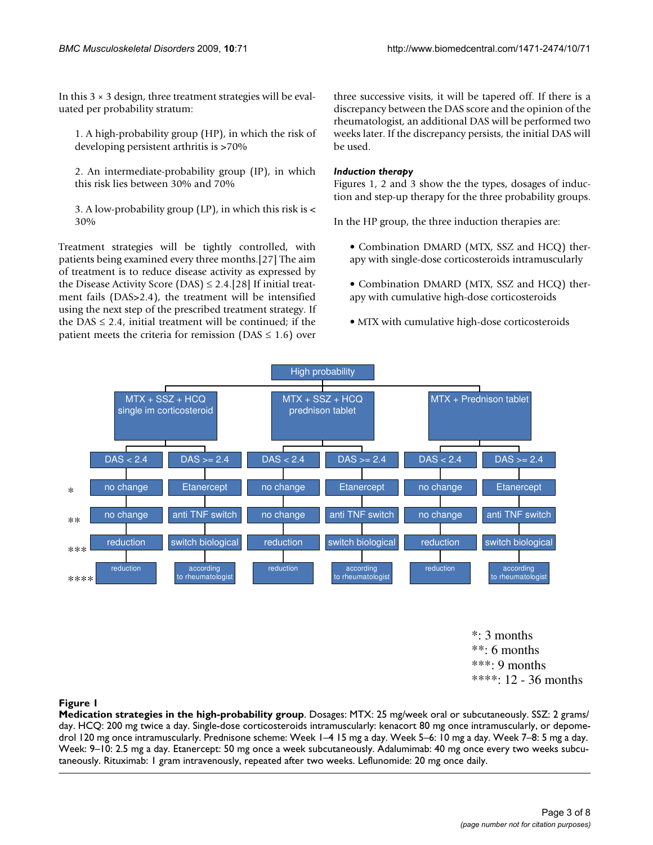In this  $3 \times 3$  design, three treatment strategies will be evaluated per probability stratum:

1. A high-probability group (HP), in which the risk of developing persistent arthritis is >70%

2. An intermediate-probability group (IP), in which this risk lies between 30% and 70%

3. A low-probability group (LP), in which this risk is < 30%

Treatment strategies will be tightly controlled, with patients being examined every three months.[27] The aim of treatment is to reduce disease activity as expressed by the Disease Activity Score (DAS)  $\leq$  2.4.[28] If initial treatment fails (DAS>2.4), the treatment will be intensified using the next step of the prescribed treatment strategy. If the DAS  $\leq$  2.4, initial treatment will be continued; if the patient meets the criteria for remission ( $\text{DAS} \leq 1.6$ ) over three successive visits, it will be tapered off. If there is a discrepancy between the DAS score and the opinion of the rheumatologist, an additional DAS will be performed two weeks later. If the discrepancy persists, the initial DAS will be used.

#### *Induction therapy*

Figures 1, 2 and 3 show the the types, dosages of induction and step-up therapy for the three probability groups.

In the HP group, the three induction therapies are:

- Combination DMARD (MTX, SSZ and HCQ) therapy with single-dose corticosteroids intramuscularly
- Combination DMARD (MTX, SSZ and HCQ) therapy with cumulative high-dose corticosteroids
- MTX with cumulative high-dose corticosteroids



\*: 3 months \*\*: 6 months \*\*\*: 9 months \*\*\*\*: 12 - 36 months

#### Figure 1

**Medication strategies in the high-probability group**. Dosages: MTX: 25 mg/week oral or subcutaneously. SSZ: 2 grams/ day. HCQ: 200 mg twice a day. Single-dose corticosteroids intramuscularly: kenacort 80 mg once intramuscularly, or depomedrol 120 mg once intramuscularly. Prednisone scheme: Week 1–4 15 mg a day. Week 5–6: 10 mg a day. Week 7–8: 5 mg a day. Week: 9–10: 2.5 mg a day. Etanercept: 50 mg once a week subcutaneously. Adalumimab: 40 mg once every two weeks subcutaneously. Rituximab: 1 gram intravenously, repeated after two weeks. Leflunomide: 20 mg once daily.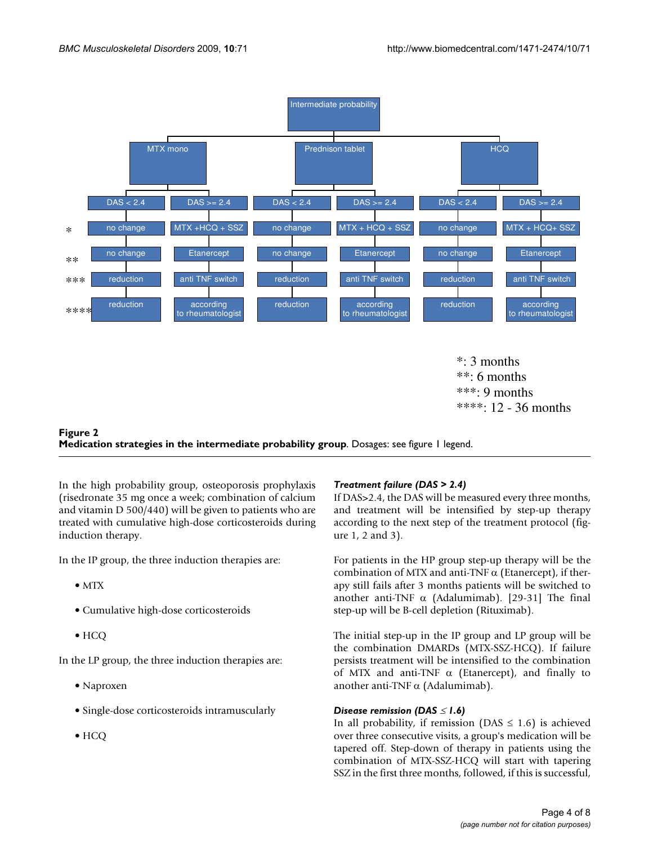



In the high probability group, osteoporosis prophylaxis (risedronate 35 mg once a week; combination of calcium and vitamin D 500/440) will be given to patients who are treated with cumulative high-dose corticosteroids during induction therapy.

In the IP group, the three induction therapies are:

- MTX
- Cumulative high-dose corticosteroids
- HCQ

In the LP group, the three induction therapies are:

- Naproxen
- Single-dose corticosteroids intramuscularly
- HCQ

## *Treatment failure (DAS > 2.4)*

If DAS>2.4, the DAS will be measured every three months, and treatment will be intensified by step-up therapy according to the next step of the treatment protocol (figure 1, 2 and 3).

For patients in the HP group step-up therapy will be the combination of MTX and anti-TNF  $\alpha$  (Etanercept), if therapy still fails after 3 months patients will be switched to another anti-TNF  $\alpha$  (Adalumimab). [29-31] The final step-up will be B-cell depletion (Rituximab).

The initial step-up in the IP group and LP group will be the combination DMARDs (MTX-SSZ-HCQ). If failure persists treatment will be intensified to the combination of MTX and anti-TNF  $\alpha$  (Etanercept), and finally to another anti-TNF α (Adalumimab).

## *Disease remission (DAS* ≤ *1.6)*

In all probability, if remission (DAS  $\leq$  1.6) is achieved over three consecutive visits, a group's medication will be tapered off. Step-down of therapy in patients using the combination of MTX-SSZ-HCQ will start with tapering SSZ in the first three months, followed, if this is successful,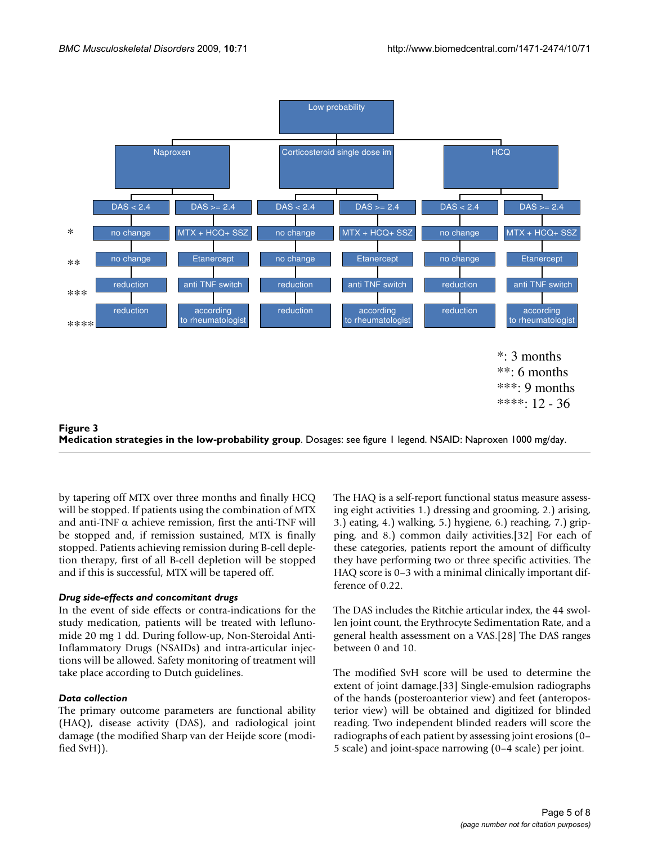

**Medication strategies in the low-probability group**. Dosages: see figure 1 legend. NSAID: Naproxen 1000 mg/day.

by tapering off MTX over three months and finally HCQ will be stopped. If patients using the combination of MTX and anti-TNF  $\alpha$  achieve remission, first the anti-TNF will be stopped and, if remission sustained, MTX is finally stopped. Patients achieving remission during B-cell depletion therapy, first of all B-cell depletion will be stopped and if this is successful, MTX will be tapered off.

## *Drug side-effects and concomitant drugs*

In the event of side effects or contra-indications for the study medication, patients will be treated with leflunomide 20 mg 1 dd. During follow-up, Non-Steroidal Anti-Inflammatory Drugs (NSAIDs) and intra-articular injections will be allowed. Safety monitoring of treatment will take place according to Dutch guidelines.

## *Data collection*

The primary outcome parameters are functional ability (HAQ), disease activity (DAS), and radiological joint damage (the modified Sharp van der Heijde score (modified SvH)).

The HAQ is a self-report functional status measure assessing eight activities 1.) dressing and grooming, 2.) arising, 3.) eating, 4.) walking, 5.) hygiene, 6.) reaching, 7.) gripping, and 8.) common daily activities.[32] For each of these categories, patients report the amount of difficulty they have performing two or three specific activities. The HAQ score is 0–3 with a minimal clinically important difference of 0.22.

The DAS includes the Ritchie articular index, the 44 swollen joint count, the Erythrocyte Sedimentation Rate, and a general health assessment on a VAS.[28] The DAS ranges between 0 and 10.

The modified SvH score will be used to determine the extent of joint damage.[33] Single-emulsion radiographs of the hands (posteroanterior view) and feet (anteroposterior view) will be obtained and digitized for blinded reading. Two independent blinded readers will score the radiographs of each patient by assessing joint erosions (0– 5 scale) and joint-space narrowing (0–4 scale) per joint.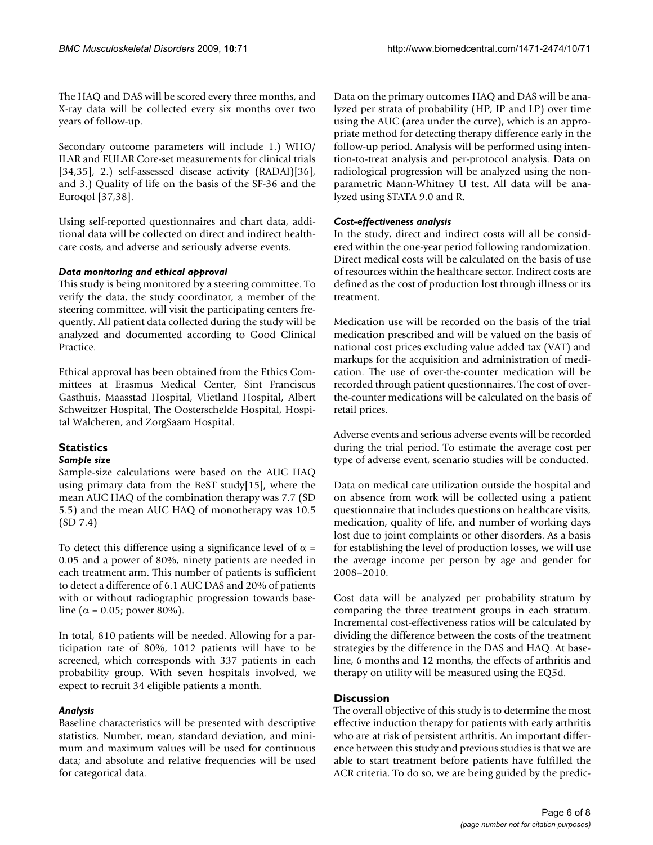The HAQ and DAS will be scored every three months, and X-ray data will be collected every six months over two years of follow-up.

Secondary outcome parameters will include 1.) WHO/ ILAR and EULAR Core-set measurements for clinical trials [34,35], 2.) self-assessed disease activity (RADAI)[36], and 3.) Quality of life on the basis of the SF-36 and the Euroqol [37,38].

Using self-reported questionnaires and chart data, additional data will be collected on direct and indirect healthcare costs, and adverse and seriously adverse events.

#### *Data monitoring and ethical approval*

This study is being monitored by a steering committee. To verify the data, the study coordinator, a member of the steering committee, will visit the participating centers frequently. All patient data collected during the study will be analyzed and documented according to Good Clinical Practice.

Ethical approval has been obtained from the Ethics Committees at Erasmus Medical Center, Sint Franciscus Gasthuis, Maasstad Hospital, Vlietland Hospital, Albert Schweitzer Hospital, The Oosterschelde Hospital, Hospital Walcheren, and ZorgSaam Hospital.

# **Statistics**

## *Sample size*

Sample-size calculations were based on the AUC HAQ using primary data from the BeST study[15], where the mean AUC HAQ of the combination therapy was 7.7 (SD 5.5) and the mean AUC HAQ of monotherapy was 10.5 (SD 7.4)

To detect this difference using a significance level of  $\alpha$  = 0.05 and a power of 80%, ninety patients are needed in each treatment arm. This number of patients is sufficient to detect a difference of 6.1 AUC DAS and 20% of patients with or without radiographic progression towards baseline (α = 0.05; power 80%).

In total, 810 patients will be needed. Allowing for a participation rate of 80%, 1012 patients will have to be screened, which corresponds with 337 patients in each probability group. With seven hospitals involved, we expect to recruit 34 eligible patients a month.

## *Analysis*

Baseline characteristics will be presented with descriptive statistics. Number, mean, standard deviation, and minimum and maximum values will be used for continuous data; and absolute and relative frequencies will be used for categorical data.

Data on the primary outcomes HAQ and DAS will be analyzed per strata of probability (HP, IP and LP) over time using the AUC (area under the curve), which is an appropriate method for detecting therapy difference early in the follow-up period. Analysis will be performed using intention-to-treat analysis and per-protocol analysis. Data on radiological progression will be analyzed using the nonparametric Mann-Whitney U test. All data will be analyzed using STATA 9.0 and R.

#### *Cost-effectiveness analysis*

In the study, direct and indirect costs will all be considered within the one-year period following randomization. Direct medical costs will be calculated on the basis of use of resources within the healthcare sector. Indirect costs are defined as the cost of production lost through illness or its treatment.

Medication use will be recorded on the basis of the trial medication prescribed and will be valued on the basis of national cost prices excluding value added tax (VAT) and markups for the acquisition and administration of medication. The use of over-the-counter medication will be recorded through patient questionnaires. The cost of overthe-counter medications will be calculated on the basis of retail prices.

Adverse events and serious adverse events will be recorded during the trial period. To estimate the average cost per type of adverse event, scenario studies will be conducted.

Data on medical care utilization outside the hospital and on absence from work will be collected using a patient questionnaire that includes questions on healthcare visits, medication, quality of life, and number of working days lost due to joint complaints or other disorders. As a basis for establishing the level of production losses, we will use the average income per person by age and gender for 2008–2010.

Cost data will be analyzed per probability stratum by comparing the three treatment groups in each stratum. Incremental cost-effectiveness ratios will be calculated by dividing the difference between the costs of the treatment strategies by the difference in the DAS and HAQ. At baseline, 6 months and 12 months, the effects of arthritis and therapy on utility will be measured using the EQ5d.

## **Discussion**

The overall objective of this study is to determine the most effective induction therapy for patients with early arthritis who are at risk of persistent arthritis. An important difference between this study and previous studies is that we are able to start treatment before patients have fulfilled the ACR criteria. To do so, we are being guided by the predic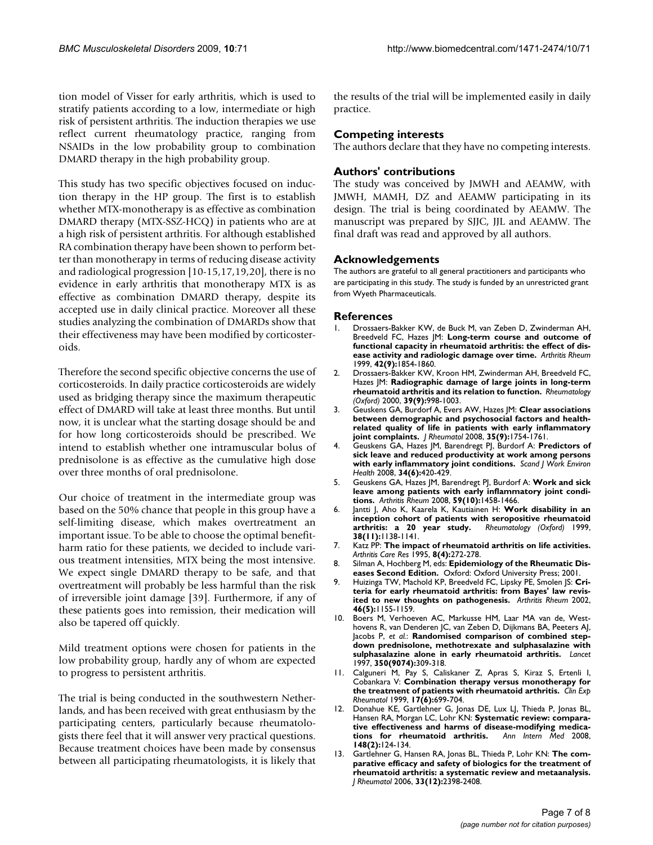tion model of Visser for early arthritis, which is used to stratify patients according to a low, intermediate or high risk of persistent arthritis. The induction therapies we use reflect current rheumatology practice, ranging from NSAIDs in the low probability group to combination DMARD therapy in the high probability group.

This study has two specific objectives focused on induction therapy in the HP group. The first is to establish whether MTX-monotherapy is as effective as combination DMARD therapy (MTX-SSZ-HCQ) in patients who are at a high risk of persistent arthritis. For although established RA combination therapy have been shown to perform better than monotherapy in terms of reducing disease activity and radiological progression [10-15,17,19,20], there is no evidence in early arthritis that monotherapy MTX is as effective as combination DMARD therapy, despite its accepted use in daily clinical practice. Moreover all these studies analyzing the combination of DMARDs show that their effectiveness may have been modified by corticosteroids.

Therefore the second specific objective concerns the use of corticosteroids. In daily practice corticosteroids are widely used as bridging therapy since the maximum therapeutic effect of DMARD will take at least three months. But until now, it is unclear what the starting dosage should be and for how long corticosteroids should be prescribed. We intend to establish whether one intramuscular bolus of prednisolone is as effective as the cumulative high dose over three months of oral prednisolone.

Our choice of treatment in the intermediate group was based on the 50% chance that people in this group have a self-limiting disease, which makes overtreatment an important issue. To be able to choose the optimal benefitharm ratio for these patients, we decided to include various treatment intensities, MTX being the most intensive. We expect single DMARD therapy to be safe, and that overtreatment will probably be less harmful than the risk of irreversible joint damage [39]. Furthermore, if any of these patients goes into remission, their medication will also be tapered off quickly.

Mild treatment options were chosen for patients in the low probability group, hardly any of whom are expected to progress to persistent arthritis.

The trial is being conducted in the southwestern Netherlands, and has been received with great enthusiasm by the participating centers, particularly because rheumatologists there feel that it will answer very practical questions. Because treatment choices have been made by consensus between all participating rheumatologists, it is likely that the results of the trial will be implemented easily in daily practice.

## **Competing interests**

The authors declare that they have no competing interests.

## **Authors' contributions**

The study was conceived by JMWH and AEAMW, with JMWH, MAMH, DZ and AEAMW participating in its design. The trial is being coordinated by AEAMW. The manuscript was prepared by SJJC, JJL and AEAMW. The final draft was read and approved by all authors.

#### **Acknowledgements**

The authors are grateful to all general practitioners and participants who are participating in this study. The study is funded by an unrestricted grant from Wyeth Pharmaceuticals.

#### **References**

- 1. Drossaers-Bakker KW, de Buck M, van Zeben D, Zwinderman AH, Breedveld FC, Hazes JM: **[Long-term course and outcome of](http://www.ncbi.nlm.nih.gov/entrez/query.fcgi?cmd=Retrieve&db=PubMed&dopt=Abstract&list_uids=10513799) [functional capacity in rheumatoid arthritis: the effect of dis](http://www.ncbi.nlm.nih.gov/entrez/query.fcgi?cmd=Retrieve&db=PubMed&dopt=Abstract&list_uids=10513799)[ease activity and radiologic damage over time.](http://www.ncbi.nlm.nih.gov/entrez/query.fcgi?cmd=Retrieve&db=PubMed&dopt=Abstract&list_uids=10513799)** *Arthritis Rheum* 1999, **42(9):**1854-1860.
- 2. Drossaers-Bakker KW, Kroon HM, Zwinderman AH, Breedveld FC, Hazes JM: **[Radiographic damage of large joints in long-term](http://www.ncbi.nlm.nih.gov/entrez/query.fcgi?cmd=Retrieve&db=PubMed&dopt=Abstract&list_uids=10986305) [rheumatoid arthritis and its relation to function.](http://www.ncbi.nlm.nih.gov/entrez/query.fcgi?cmd=Retrieve&db=PubMed&dopt=Abstract&list_uids=10986305)** *Rheumatology (Oxford)* 2000, **39(9):**998-1003.
- 3. Geuskens GA, Burdorf A, Evers AW, Hazes JM: **[Clear associations](http://www.ncbi.nlm.nih.gov/entrez/query.fcgi?cmd=Retrieve&db=PubMed&dopt=Abstract&list_uids=18688915) between demographic and psychosocial factors and health[related quality of life in patients with early inflammatory](http://www.ncbi.nlm.nih.gov/entrez/query.fcgi?cmd=Retrieve&db=PubMed&dopt=Abstract&list_uids=18688915) [joint complaints.](http://www.ncbi.nlm.nih.gov/entrez/query.fcgi?cmd=Retrieve&db=PubMed&dopt=Abstract&list_uids=18688915)** *J Rheumatol* 2008, **35(9):**1754-1761.
- 4. Geuskens GA, Hazes JM, Barendregt PJ, Burdorf A: **[Predictors of](http://www.ncbi.nlm.nih.gov/entrez/query.fcgi?cmd=Retrieve&db=PubMed&dopt=Abstract&list_uids=19137203) [sick leave and reduced productivity at work among persons](http://www.ncbi.nlm.nih.gov/entrez/query.fcgi?cmd=Retrieve&db=PubMed&dopt=Abstract&list_uids=19137203) [with early inflammatory joint conditions.](http://www.ncbi.nlm.nih.gov/entrez/query.fcgi?cmd=Retrieve&db=PubMed&dopt=Abstract&list_uids=19137203)** *Scand J Work Environ Health* 2008, **34(6):**420-429.
- 5. Geuskens GA, Hazes JM, Barendregt PJ, Burdorf A: **[Work and sick](http://www.ncbi.nlm.nih.gov/entrez/query.fcgi?cmd=Retrieve&db=PubMed&dopt=Abstract&list_uids=18821663) [leave among patients with early inflammatory joint condi](http://www.ncbi.nlm.nih.gov/entrez/query.fcgi?cmd=Retrieve&db=PubMed&dopt=Abstract&list_uids=18821663)[tions.](http://www.ncbi.nlm.nih.gov/entrez/query.fcgi?cmd=Retrieve&db=PubMed&dopt=Abstract&list_uids=18821663)** *Arthritis Rheum* 2008, **59(10):**1458-1466.
- 6. Jantti J, Aho K, Kaarela K, Kautiainen H: **[Work disability in an](http://www.ncbi.nlm.nih.gov/entrez/query.fcgi?cmd=Retrieve&db=PubMed&dopt=Abstract&list_uids=10556269) [inception cohort of patients with seropositive rheumatoid](http://www.ncbi.nlm.nih.gov/entrez/query.fcgi?cmd=Retrieve&db=PubMed&dopt=Abstract&list_uids=10556269) [arthritis: a 20 year study.](http://www.ncbi.nlm.nih.gov/entrez/query.fcgi?cmd=Retrieve&db=PubMed&dopt=Abstract&list_uids=10556269)** *Rheumatology (Oxford)* 1999, **38(11):**1138-1141.
- 7. Katz PP: **[The impact of rheumatoid arthritis on life activities.](http://www.ncbi.nlm.nih.gov/entrez/query.fcgi?cmd=Retrieve&db=PubMed&dopt=Abstract&list_uids=8605266)** *Arthritis Care Res* 1995, **8(4):**272-278.
- 8. Silman A, Hochberg M, eds: **Epidemiology of the Rheumatic Diseases Second Edition.** Oxford: Oxford University Press; 2001.
- 9. Huizinga TW, Machold KP, Breedveld FC, Lipsky PE, Smolen JS: **[Cri](http://www.ncbi.nlm.nih.gov/entrez/query.fcgi?cmd=Retrieve&db=PubMed&dopt=Abstract&list_uids=12115216)[teria for early rheumatoid arthritis: from Bayes' law revis](http://www.ncbi.nlm.nih.gov/entrez/query.fcgi?cmd=Retrieve&db=PubMed&dopt=Abstract&list_uids=12115216)[ited to new thoughts on pathogenesis.](http://www.ncbi.nlm.nih.gov/entrez/query.fcgi?cmd=Retrieve&db=PubMed&dopt=Abstract&list_uids=12115216)** *Arthritis Rheum* 2002, **46(5):**1155-1159.
- 10. Boers M, Verhoeven AC, Markusse HM, Laar MA van de, Westhovens R, van Denderen JC, van Zeben D, Dijkmans BA, Peeters AJ, Jacobs P, *et al.*: **[Randomised comparison of combined step](http://www.ncbi.nlm.nih.gov/entrez/query.fcgi?cmd=Retrieve&db=PubMed&dopt=Abstract&list_uids=9251634)[down prednisolone, methotrexate and sulphasalazine with](http://www.ncbi.nlm.nih.gov/entrez/query.fcgi?cmd=Retrieve&db=PubMed&dopt=Abstract&list_uids=9251634) [sulphasalazine alone in early rheumatoid arthritis.](http://www.ncbi.nlm.nih.gov/entrez/query.fcgi?cmd=Retrieve&db=PubMed&dopt=Abstract&list_uids=9251634)** *Lancet* 1997, **350(9074):**309-318.
- 11. Calguneri M, Pay S, Caliskaner Z, Apras S, Kiraz S, Ertenli I, Cobankara V: **[Combination therapy versus monotherapy for](http://www.ncbi.nlm.nih.gov/entrez/query.fcgi?cmd=Retrieve&db=PubMed&dopt=Abstract&list_uids=10609068) [the treatment of patients with rheumatoid arthritis.](http://www.ncbi.nlm.nih.gov/entrez/query.fcgi?cmd=Retrieve&db=PubMed&dopt=Abstract&list_uids=10609068)** *Clin Exp Rheumatol* 1999, **17(6):**699-704.
- 12. Donahue KE, Gartlehner G, Jonas DE, Lux LJ, Thieda P, Jonas BL, Hansen RA, Morgan LC, Lohr KN: **[Systematic review: compara](http://www.ncbi.nlm.nih.gov/entrez/query.fcgi?cmd=Retrieve&db=PubMed&dopt=Abstract&list_uids=18025440)**tive effectiveness and harms of disease-modifying medications for rheumatoid arthritis. Ann Intern Med 2008. [tions for rheumatoid arthritis.](http://www.ncbi.nlm.nih.gov/entrez/query.fcgi?cmd=Retrieve&db=PubMed&dopt=Abstract&list_uids=18025440) **148(2):**124-134.
- 13. Gartlehner G, Hansen RA, Jonas BL, Thieda P, Lohr KN: **[The com](http://www.ncbi.nlm.nih.gov/entrez/query.fcgi?cmd=Retrieve&db=PubMed&dopt=Abstract&list_uids=17225293)parative efficacy and safety of biologics for the treatment of [rheumatoid arthritis: a systematic review and metaanalysis.](http://www.ncbi.nlm.nih.gov/entrez/query.fcgi?cmd=Retrieve&db=PubMed&dopt=Abstract&list_uids=17225293)** *J Rheumatol* 2006, **33(12):**2398-2408.